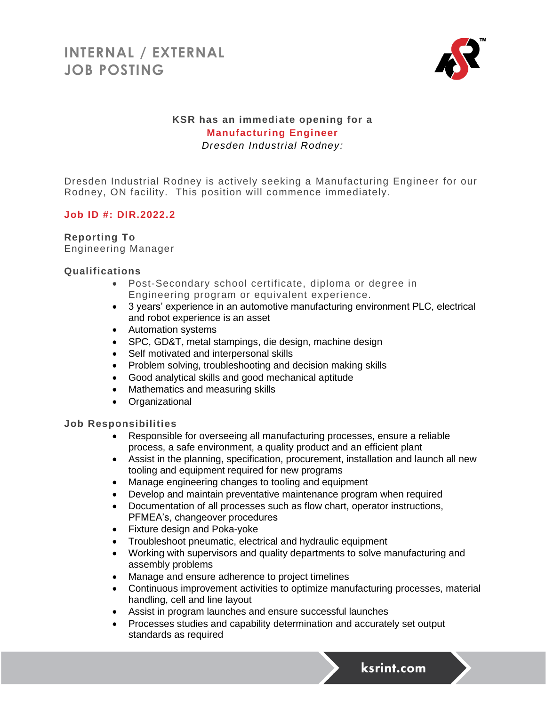

## **KSR has an immediate opening for a Manufacturing Engineer** *Dresden Industrial Rodney:*

Dresden Industrial Rodney is actively seeking a Manufacturing Engineer for our Rodney, ON facility. This position will commence immediately.

### **Job ID #: DIR.2022.2**

### **Reporting To**

Engineering Manager

### **Qualifications**

- Post-Secondary school certificate, diploma or degree in Engineering program or equivalent experience.
- 3 years' experience in an automotive manufacturing environment PLC, electrical and robot experience is an asset
- Automation systems
- SPC, GD&T, metal stampings, die design, machine design
- Self motivated and interpersonal skills
- Problem solving, troubleshooting and decision making skills
- Good analytical skills and good mechanical aptitude
- Mathematics and measuring skills
- Organizational

#### **Job Responsibilities**

- Responsible for overseeing all manufacturing processes, ensure a reliable process, a safe environment, a quality product and an efficient plant
- Assist in the planning, specification, procurement, installation and launch all new tooling and equipment required for new programs
- Manage engineering changes to tooling and equipment
- Develop and maintain preventative maintenance program when required
- Documentation of all processes such as flow chart, operator instructions, PFMEA's, changeover procedures
- Fixture design and Poka-yoke
- Troubleshoot pneumatic, electrical and hydraulic equipment
- Working with supervisors and quality departments to solve manufacturing and assembly problems
- Manage and ensure adherence to project timelines
- Continuous improvement activities to optimize manufacturing processes, material handling, cell and line layout
- Assist in program launches and ensure successful launches
- Processes studies and capability determination and accurately set output standards as required